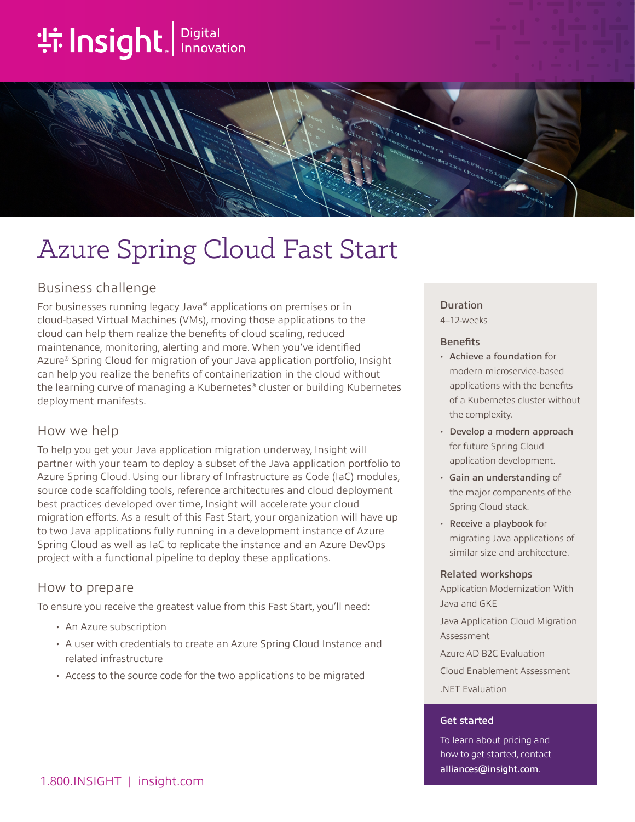# **the Insight**. Innovation



## Azure Spring Cloud Fast Start

## Business challenge

For businesses running legacy Java® applications on premises or in cloud-based Virtual Machines (VMs), moving those applications to the cloud can help them realize the benefits of cloud scaling, reduced maintenance, monitoring, alerting and more. When you've identified Azure® Spring Cloud for migration of your Java application portfolio, Insight can help you realize the benefits of containerization in the cloud without the learning curve of managing a Kubernetes® cluster or building Kubernetes deployment manifests.

## How we help

To help you get your Java application migration underway, Insight will partner with your team to deploy a subset of the Java application portfolio to Azure Spring Cloud. Using our library of Infrastructure as Code (IaC) modules, source code scaffolding tools, reference architectures and cloud deployment best practices developed over time, Insight will accelerate your cloud migration efforts. As a result of this Fast Start, your organization will have up to two Java applications fully running in a development instance of Azure Spring Cloud as well as IaC to replicate the instance and an Azure DevOps project with a functional pipeline to deploy these applications.

## How to prepare

To ensure you receive the greatest value from this Fast Start, you'll need:

- An Azure subscription
- A user with credentials to create an Azure Spring Cloud Instance and related infrastructure
- Access to the source code for the two applications to be migrated

#### Duration

4–12-weeks

#### **Benefits**

- Achieve a foundation for modern microservice-based applications with the benefits of a Kubernetes cluster without the complexity.
- Develop a modern approach for future Spring Cloud application development.
- Gain an understanding of the major components of the Spring Cloud stack.
- Receive a playbook for migrating Java applications of similar size and architecture.

#### Related workshops

Application Modernization With Java and GKE

Java Application Cloud Migration Assessment

Azure AD B2C Evaluation

Cloud Enablement Assessment .NET Evaluation

#### Get started

To learn about pricing and how to get started, contact [alliances@insight.com](mailto:alliances@insight.com).